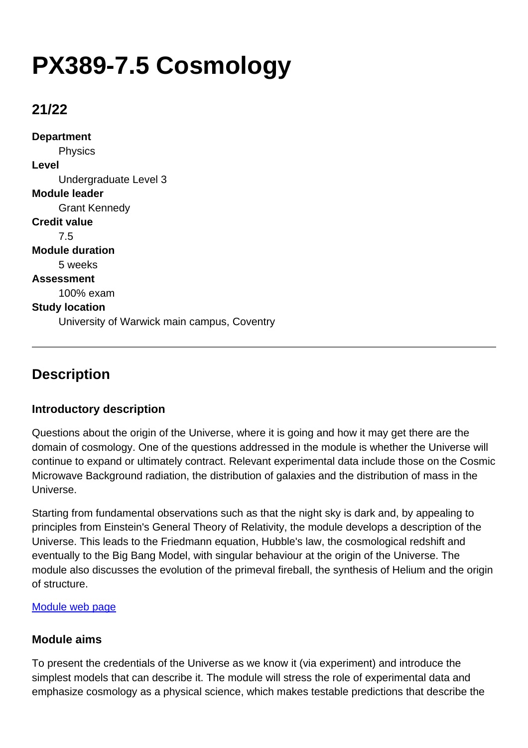# **PX389-7.5 Cosmology**

## **21/22**

**Department** Physics **Level** Undergraduate Level 3 **Module leader** Grant Kennedy **Credit value** 7.5 **Module duration** 5 weeks **Assessment** 100% exam **Study location** University of Warwick main campus, Coventry

# **Description**

## **Introductory description**

Questions about the origin of the Universe, where it is going and how it may get there are the domain of cosmology. One of the questions addressed in the module is whether the Universe will continue to expand or ultimately contract. Relevant experimental data include those on the Cosmic Microwave Background radiation, the distribution of galaxies and the distribution of mass in the Universe.

Starting from fundamental observations such as that the night sky is dark and, by appealing to principles from Einstein's General Theory of Relativity, the module develops a description of the Universe. This leads to the Friedmann equation, Hubble's law, the cosmological redshift and eventually to the Big Bang Model, with singular behaviour at the origin of the Universe. The module also discusses the evolution of the primeval fireball, the synthesis of Helium and the origin of structure.

#### [Module web page](http://www2.warwick.ac.uk/px389/)

## **Module aims**

To present the credentials of the Universe as we know it (via experiment) and introduce the simplest models that can describe it. The module will stress the role of experimental data and emphasize cosmology as a physical science, which makes testable predictions that describe the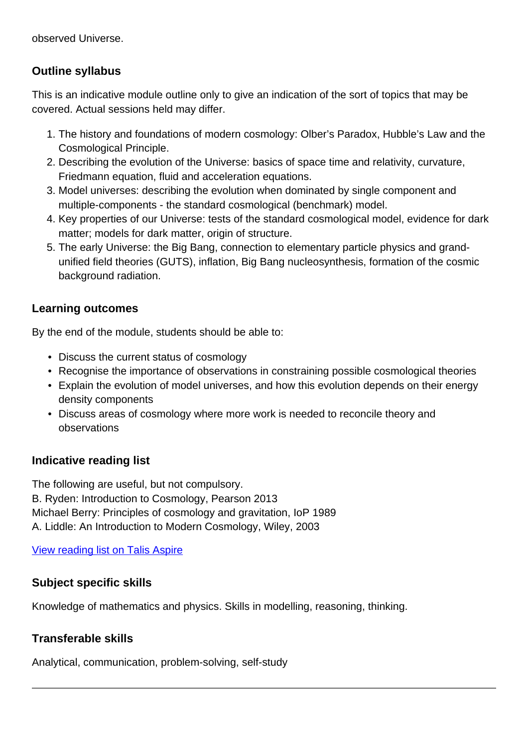observed Universe.

## **Outline syllabus**

This is an indicative module outline only to give an indication of the sort of topics that may be covered. Actual sessions held may differ.

- 1. The history and foundations of modern cosmology: Olber's Paradox, Hubble's Law and the Cosmological Principle.
- 2. Describing the evolution of the Universe: basics of space time and relativity, curvature, Friedmann equation, fluid and acceleration equations.
- 3. Model universes: describing the evolution when dominated by single component and multiple-components - the standard cosmological (benchmark) model.
- 4. Key properties of our Universe: tests of the standard cosmological model, evidence for dark matter; models for dark matter, origin of structure.
- 5. The early Universe: the Big Bang, connection to elementary particle physics and grandunified field theories (GUTS), inflation, Big Bang nucleosynthesis, formation of the cosmic background radiation.

## **Learning outcomes**

By the end of the module, students should be able to:

- Discuss the current status of cosmology
- Recognise the importance of observations in constraining possible cosmological theories
- Explain the evolution of model universes, and how this evolution depends on their energy density components
- Discuss areas of cosmology where more work is needed to reconcile theory and observations

## **Indicative reading list**

The following are useful, but not compulsory. B. Ryden: Introduction to Cosmology, Pearson 2013 Michael Berry: Principles of cosmology and gravitation, IoP 1989 A. Liddle: An Introduction to Modern Cosmology, Wiley, 2003

[View reading list on Talis Aspire](http://readinglists.warwick.ac.uk/modules/px389.html)

## **Subject specific skills**

Knowledge of mathematics and physics. Skills in modelling, reasoning, thinking.

## **Transferable skills**

Analytical, communication, problem-solving, self-study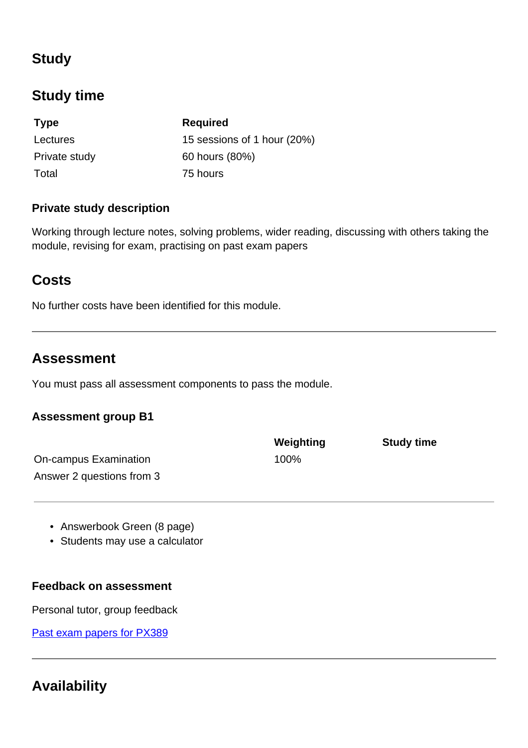# **Study**

# **Study time**

| <b>Type</b>   | <b>Required</b>             |
|---------------|-----------------------------|
| Lectures      | 15 sessions of 1 hour (20%) |
| Private study | 60 hours (80%)              |
| Total         | 75 hours                    |

## **Private study description**

Working through lecture notes, solving problems, wider reading, discussing with others taking the module, revising for exam, practising on past exam papers

# **Costs**

No further costs have been identified for this module.

## **Assessment**

You must pass all assessment components to pass the module.

## **Assessment group B1**

|                           | Weighting | <b>Study time</b> |
|---------------------------|-----------|-------------------|
| On-campus Examination     | 100%      |                   |
| Answer 2 questions from 3 |           |                   |

- Answerbook Green (8 page)
- Students may use a calculator

#### **Feedback on assessment**

Personal tutor, group feedback

[Past exam papers for PX389](https://warwick.ac.uk/exampapers?q=PX389)

# **Availability**